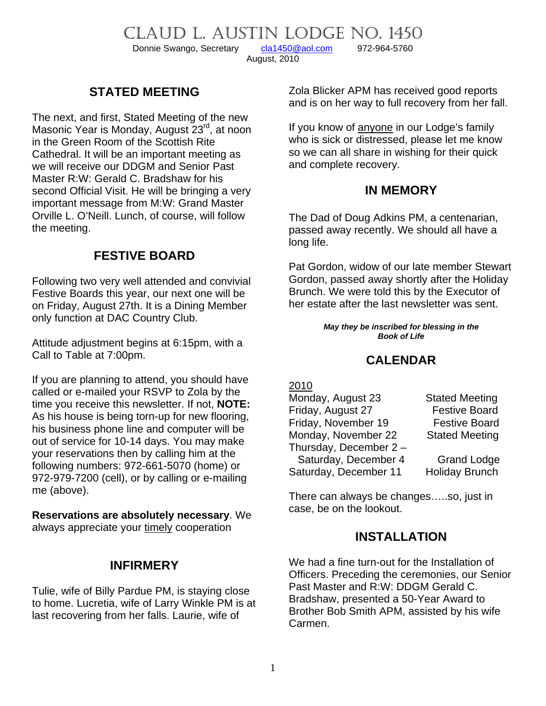CLAUD L. AUSTIN LODGE NO. 1450

Donnie Swango, Secretary [cla1450@aol.com](mailto:cla1450@aol.com) 972-964-5760

August, 2010

# **STATED MEETING**

The next, and first, Stated Meeting of the new Masonic Year is Monday, August 23<sup>rd</sup>, at noon in the Green Room of the Scottish Rite Cathedral. It will be an important meeting as we will receive our DDGM and Senior Past Master R:W: Gerald C. Bradshaw for his second Official Visit. He will be bringing a very important message from M:W: Grand Master Orville L. O'Neill. Lunch, of course, will follow the meeting.

# **FESTIVE BOARD**

Following two very well attended and convivial Festive Boards this year, our next one will be on Friday, August 27th. It is a Dining Member only function at DAC Country Club.

Attitude adjustment begins at 6:15pm, with a Call to Table at 7:00pm.

If you are planning to attend, you should have called or e-mailed your RSVP to Zola by the time you receive this newsletter. If not, **NOTE:** As his house is being torn-up for new flooring, his business phone line and computer will be out of service for 10-14 days. You may make your reservations then by calling him at the following numbers: 972-661-5070 (home) or 972-979-7200 (cell), or by calling or e-mailing me (above).

**Reservations are absolutely necessary**. We always appreciate your timely cooperation

### **INFIRMERY**

Tulie, wife of Billy Pardue PM, is staying close to home. Lucretia, wife of Larry Winkle PM is at last recovering from her falls. Laurie, wife of

Zola Blicker APM has received good reports and is on her way to full recovery from her fall.

If you know of anyone in our Lodge's family who is sick or distressed, please let me know so we can all share in wishing for their quick and complete recovery.

### **IN MEMORY**

The Dad of Doug Adkins PM, a centenarian, passed away recently. We should all have a long life.

Pat Gordon, widow of our late member Stewart Gordon, passed away shortly after the Holiday Brunch. We were told this by the Executor of her estate after the last newsletter was sent.

> *May they be inscribed for blessing in the Book of Life*

# **CALENDAR**

#### 2010

| <b>Stated Meeting</b> |
|-----------------------|
| <b>Festive Board</b>  |
| <b>Festive Board</b>  |
| <b>Stated Meeting</b> |
|                       |
| <b>Grand Lodge</b>    |
| <b>Holiday Brunch</b> |
|                       |

There can always be changes…..so, just in case, be on the lookout.

### **INSTALLATION**

We had a fine turn-out for the Installation of Officers. Preceding the ceremonies, our Senior Past Master and R:W: DDGM Gerald C. Bradshaw, presented a 50-Year Award to Brother Bob Smith APM, assisted by his wife Carmen.